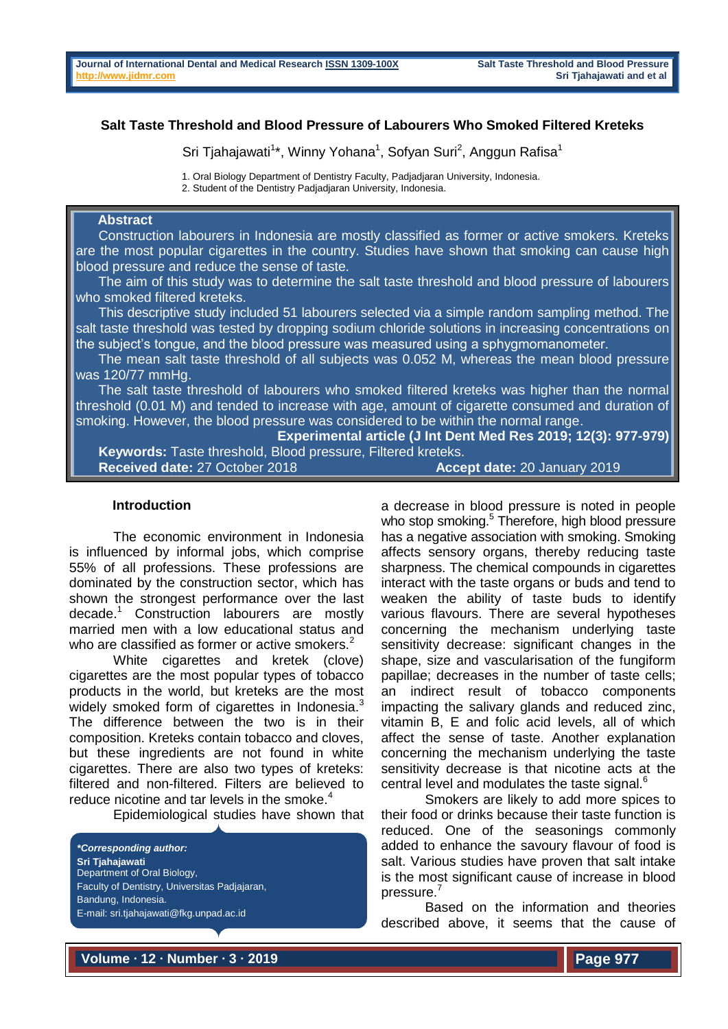# **Salt Taste Threshold and Blood Pressure of Labourers Who Smoked Filtered Kreteks**

Sri Tjahajawati<sup>1\*</sup>, Winny Yohana<sup>1</sup>, Sofyan Suri<sup>2</sup>, Anggun Rafisa<sup>1</sup>

1. Oral Biology Department of Dentistry Faculty, Padjadjaran University, Indonesia.

2. Student of the Dentistry Padjadjaran University, Indonesia.

### **Abstract**

 Construction labourers in Indonesia are mostly classified as former or active smokers. Kreteks are the most popular cigarettes in the country. Studies have shown that smoking can cause high blood pressure and reduce the sense of taste.

 The aim of this study was to determine the salt taste threshold and blood pressure of labourers who smoked filtered kreteks.

 This descriptive study included 51 labourers selected via a simple random sampling method. The salt taste threshold was tested by dropping sodium chloride solutions in increasing concentrations on the subject's tongue, and the blood pressure was measured using a sphygmomanometer.

 The mean salt taste threshold of all subjects was 0.052 M, whereas the mean blood pressure was 120/77 mmHg.

 The salt taste threshold of labourers who smoked filtered kreteks was higher than the normal threshold (0.01 M) and tended to increase with age, amount of cigarette consumed and duration of smoking. However, the blood pressure was considered to be within the normal range.

**Experimental article (J Int Dent Med Res 2019; 12(3): 977-979) Keywords:** Taste threshold, Blood pressure, Filtered kreteks. **Received date:** 27 October 2018 **Accept date:** 20 January 2019

### **Introduction**

The economic environment in Indonesia is influenced by informal jobs, which comprise 55% of all professions. These professions are dominated by the construction sector, which has shown the strongest performance over the last decade.<sup>1</sup> Construction labourers are mostly married men with a low educational status and who are classified as former or active smokers. $2^2$ 

White cigarettes and kretek (clove) cigarettes are the most popular types of tobacco products in the world, but kreteks are the most widely smoked form of cigarettes in Indonesia.<sup>3</sup> The difference between the two is in their composition. Kreteks contain tobacco and cloves, but these ingredients are not found in white cigarettes. There are also two types of kreteks: filtered and non-filtered. Filters are believed to reduce nicotine and tar levels in the smoke. $4$ 

Epidemiological studies have shown that



a decrease in blood pressure is noted in people who stop smoking.<sup>5</sup> Therefore, high blood pressure has a negative association with smoking. Smoking affects sensory organs, thereby reducing taste sharpness. The chemical compounds in cigarettes interact with the taste organs or buds and tend to weaken the ability of taste buds to identify various flavours. There are several hypotheses concerning the mechanism underlying taste sensitivity decrease: significant changes in the shape, size and vascularisation of the fungiform papillae; decreases in the number of taste cells; an indirect result of tobacco components impacting the salivary glands and reduced zinc, vitamin B, E and folic acid levels, all of which affect the sense of taste. Another explanation concerning the mechanism underlying the taste sensitivity decrease is that nicotine acts at the central level and modulates the taste signal.<sup>6</sup>

Smokers are likely to add more spices to their food or drinks because their taste function is reduced. One of the seasonings commonly added to enhance the savoury flavour of food is salt. Various studies have proven that salt intake is the most significant cause of increase in blood pressure.<sup>7</sup>

Based on the information and theories described above, it seems that the cause of

**Volume ∙ 12 ∙ Number ∙ 3 ∙ 2019**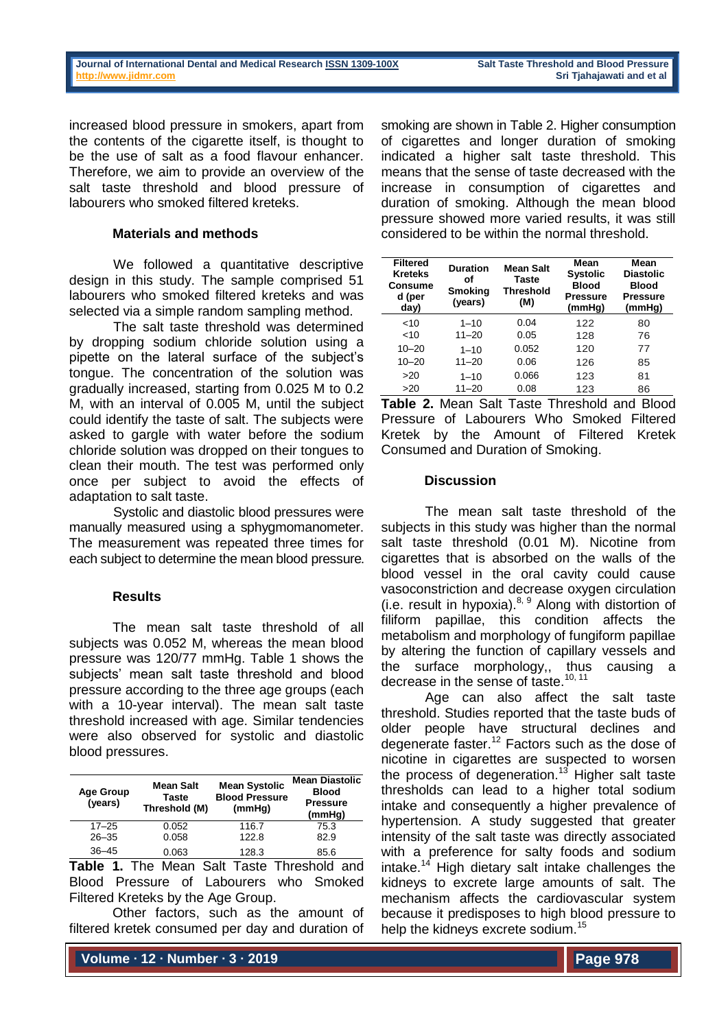increased blood pressure in smokers, apart from the contents of the cigarette itself, is thought to be the use of salt as a food flavour enhancer. Therefore, we aim to provide an overview of the salt taste threshold and blood pressure of labourers who smoked filtered kreteks.

### **Materials and methods**

We followed a quantitative descriptive design in this study. The sample comprised 51 labourers who smoked filtered kreteks and was selected via a simple random sampling method.

The salt taste threshold was determined by dropping sodium chloride solution using a pipette on the lateral surface of the subject's tongue. The concentration of the solution was gradually increased, starting from 0.025 M to 0.2 M, with an interval of 0.005 M, until the subject could identify the taste of salt. The subjects were asked to gargle with water before the sodium chloride solution was dropped on their tongues to clean their mouth. The test was performed only once per subject to avoid the effects of adaptation to salt taste.

Systolic and diastolic blood pressures were manually measured using a sphygmomanometer. The measurement was repeated three times for each subject to determine the mean blood pressure.

## **Results**

The mean salt taste threshold of all subjects was 0.052 M, whereas the mean blood pressure was 120/77 mmHg. Table 1 shows the subjects' mean salt taste threshold and blood pressure according to the three age groups (each with a 10-year interval). The mean salt taste threshold increased with age. Similar tendencies were also observed for systolic and diastolic blood pressures.

| <b>Age Group</b><br>(years) | <b>Mean Salt</b><br>Taste<br>Threshold (M) | <b>Mean Systolic</b><br><b>Blood Pressure</b><br>(mmHg) | <b>Mean Diastolic</b><br><b>Blood</b><br><b>Pressure</b><br>(mmHg) |
|-----------------------------|--------------------------------------------|---------------------------------------------------------|--------------------------------------------------------------------|
| $17 - 25$                   | 0.052                                      | 116.7                                                   | 75.3                                                               |
| $26 - 35$                   | 0.058                                      | 122.8                                                   | 82.9                                                               |
| $36 - 45$                   | 0.063                                      | 128.3                                                   | 85.6                                                               |

**Table 1.** The Mean Salt Taste Threshold and Blood Pressure of Labourers who Smoked Filtered Kreteks by the Age Group.

Other factors, such as the amount of filtered kretek consumed per day and duration of

**Volume ∙ 12 ∙ Number ∙ 3 ∙ 2019**

smoking are shown in Table 2. Higher consumption of cigarettes and longer duration of smoking indicated a higher salt taste threshold. This means that the sense of taste decreased with the increase in consumption of cigarettes and duration of smoking. Although the mean blood pressure showed more varied results, it was still considered to be within the normal threshold.

| <b>Filtered</b><br><b>Kreteks</b><br>Consume<br>d (per<br>day) | <b>Duration</b><br>οf<br><b>Smoking</b><br>(years) | Mean Salt<br>Taste<br>Threshold<br>(M) | Mean<br><b>Systolic</b><br><b>Blood</b><br><b>Pressure</b><br>(mmHg) | Mean<br><b>Diastolic</b><br><b>Blood</b><br><b>Pressure</b><br>(mmHg) |
|----------------------------------------------------------------|----------------------------------------------------|----------------------------------------|----------------------------------------------------------------------|-----------------------------------------------------------------------|
| 10                                                             | $1 - 10$                                           | 0.04                                   | 122                                                                  | 80                                                                    |
| 10                                                             | $11 - 20$                                          | 0.05                                   | 128                                                                  | 76                                                                    |
| $10 - 20$                                                      | $1 - 10$                                           | 0.052                                  | 120                                                                  | 77                                                                    |
| $10 - 20$                                                      | $11 - 20$                                          | 0.06                                   | 126                                                                  | 85                                                                    |
| >20                                                            | $1 - 10$                                           | 0.066                                  | 123                                                                  | 81                                                                    |
| >20                                                            | $11 - 20$                                          | 0.08                                   | 123                                                                  | 86                                                                    |

**Table 2.** Mean Salt Taste Threshold and Blood Pressure of Labourers Who Smoked Filtered Kretek by the Amount of Filtered Kretek Consumed and Duration of Smoking.

### **Discussion**

The mean salt taste threshold of the subjects in this study was higher than the normal salt taste threshold (0.01 M). Nicotine from cigarettes that is absorbed on the walls of the blood vessel in the oral cavity could cause vasoconstriction and decrease oxygen circulation (i.e. result in hypoxia). $8, 9$  Along with distortion of filiform papillae, this condition affects the metabolism and morphology of fungiform papillae by altering the function of capillary vessels and the surface morphology,, thus causing a decrease in the sense of taste.<sup>10, 11</sup>

Age can also affect the salt taste threshold. Studies reported that the taste buds of older people have structural declines and degenerate faster.<sup>12</sup> Factors such as the dose of nicotine in cigarettes are suspected to worsen the process of degeneration.<sup>13</sup> Higher salt taste thresholds can lead to a higher total sodium intake and consequently a higher prevalence of hypertension. A study suggested that greater intensity of the salt taste was directly associated with a preference for salty foods and sodium intake.<sup>14</sup> High dietary salt intake challenges the kidneys to excrete large amounts of salt. The mechanism affects the cardiovascular system because it predisposes to high blood pressure to help the kidneys excrete sodium.<sup>15</sup>